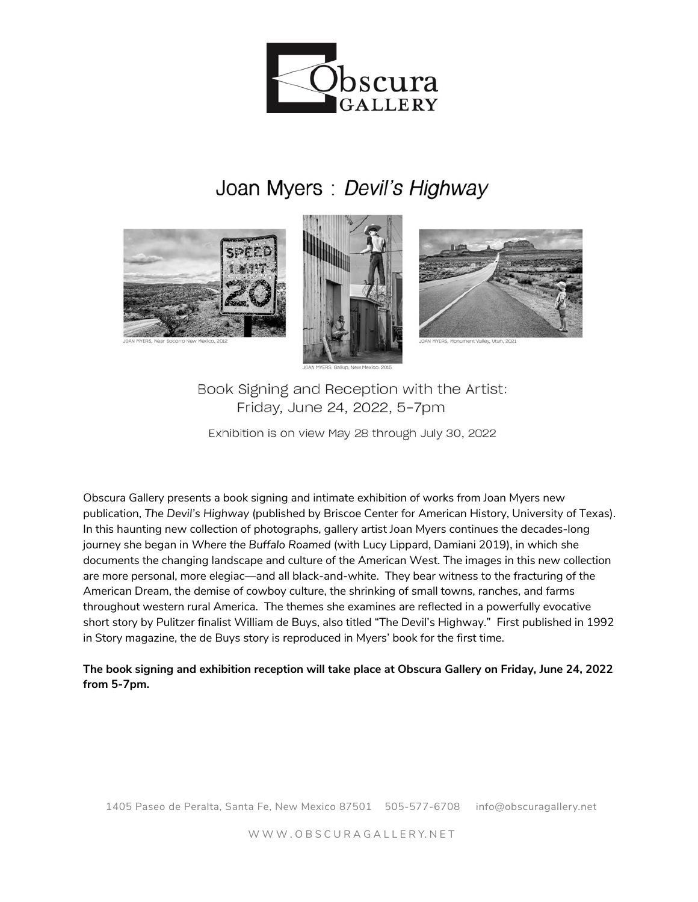

## Joan Myers : Devil's Highway





Book Signing and Reception with the Artist: Friday, June 24, 2022, 5-7pm

Exhibition is on view May 28 through July 30, 2022

Obscura Gallery presents a book signing and intimate exhibition of works from Joan Myers new publication, *The Devil's Highway* (published by Briscoe Center for American History, University of Texas). In this haunting new collection of photographs, gallery artist Joan Myers continues the decades-long journey she began in *Where the Buffalo Roamed* (with Lucy Lippard, Damiani 2019), in which she documents the changing landscape and culture of the American West. The images in this new collection are more personal, more elegiac––and all black-and-white. They bear witness to the fracturing of the American Dream, the demise of cowboy culture, the shrinking of small towns, ranches, and farms throughout western rural America. The themes she examines are reflected in a powerfully evocative short story by Pulitzer finalist William de Buys, also titled "The Devil's Highway." First published in 1992 in Story magazine, the de Buys story is reproduced in Myers' book for the first time.

**The book signing and exhibition reception will take place at Obscura Gallery on Friday, June 24, 2022 from 5-7pm.**

1405 Paseo de Peralta, Santa Fe, New Mexico 87501 505-577-6708 info@obscuragallery.net

W W W . O B S C U R A G A L L E R Y. N E T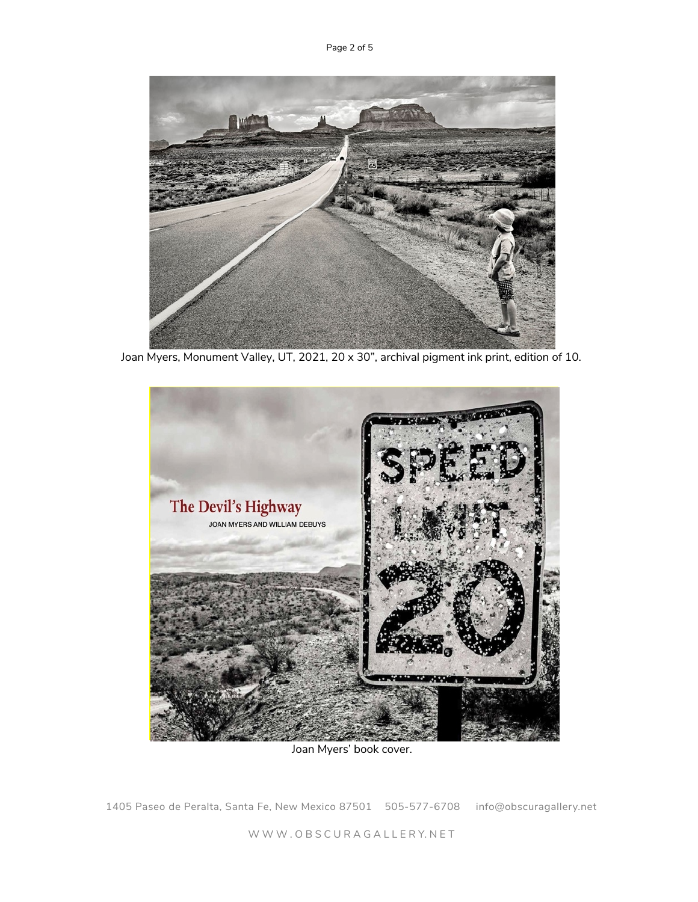

Joan Myers, Monument Valley, UT, 2021, 20 x 30", archival pigment ink print, edition of 10.



Joan Myers' book cover.

1405 Paseo de Peralta, Santa Fe, New Mexico 87501 505-577-6708 info@obscuragallery.net

W W W . O B S C U R A G A L L E R Y. N E T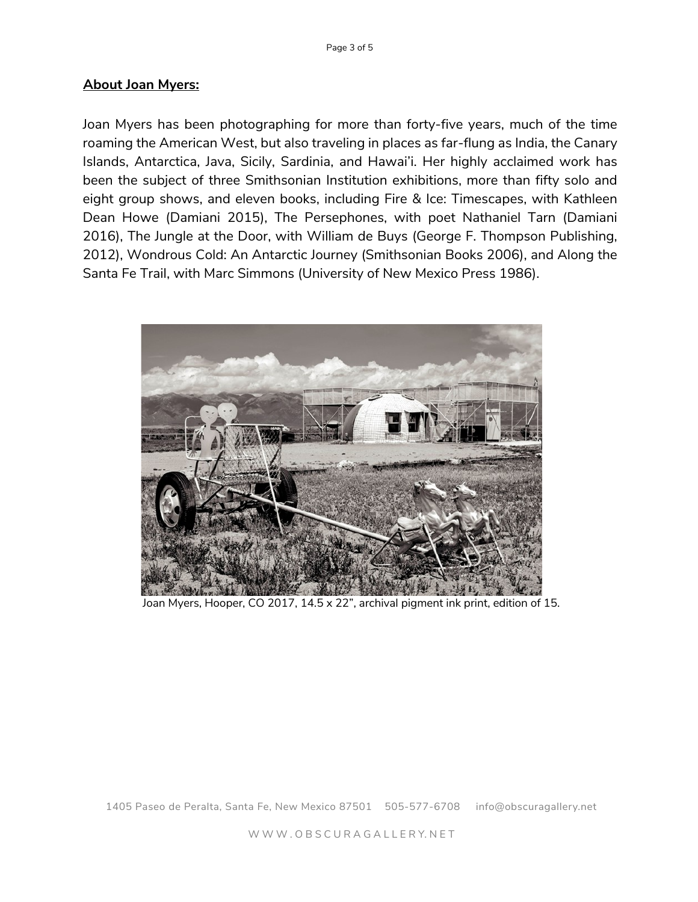## **About Joan Myers:**

Joan Myers has been photographing for more than forty-five years, much of the time roaming the American West, but also traveling in places as far-flung as India, the Canary Islands, Antarctica, Java, Sicily, Sardinia, and Hawai'i. Her highly acclaimed work has been the subject of three Smithsonian Institution exhibitions, more than fifty solo and eight group shows, and eleven books, including Fire & Ice: Timescapes, with Kathleen Dean Howe (Damiani 2015), The Persephones, with poet Nathaniel Tarn (Damiani 2016), The Jungle at the Door, with William de Buys (George F. Thompson Publishing, 2012), Wondrous Cold: An Antarctic Journey (Smithsonian Books 2006), and Along the Santa Fe Trail, with Marc Simmons (University of New Mexico Press 1986).



Joan Myers, Hooper, CO 2017, 14.5 x 22", archival pigment ink print, edition of 15.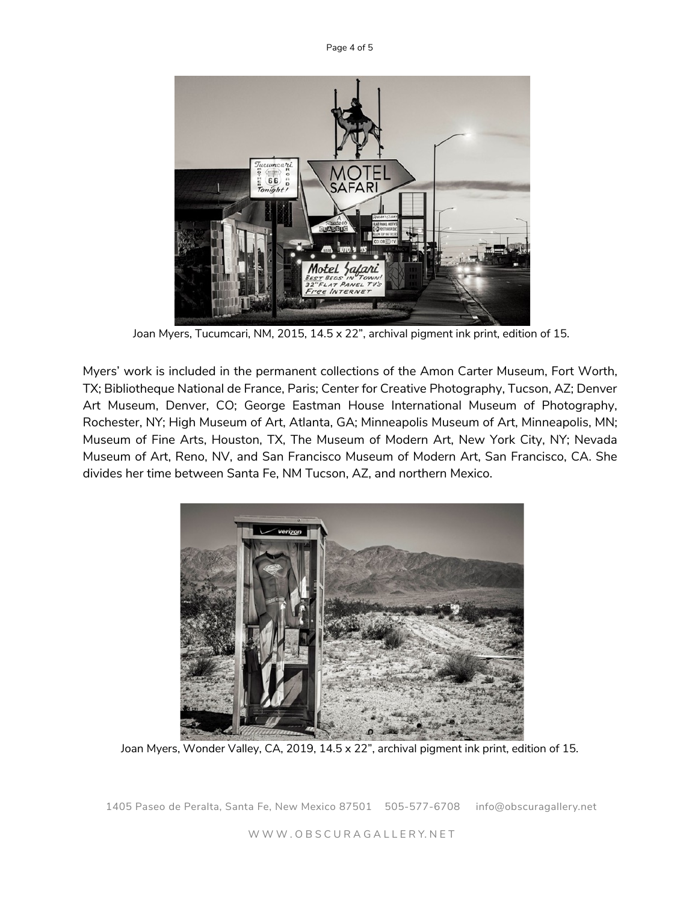Page 4 of 5



Joan Myers, Tucumcari, NM, 2015, 14.5 x 22", archival pigment ink print, edition of 15.

Myers' work is included in the permanent collections of the Amon Carter Museum, Fort Worth, TX; Bibliotheque National de France, Paris; Center for Creative Photography, Tucson, AZ; Denver Art Museum, Denver, CO; George Eastman House International Museum of Photography, Rochester, NY; High Museum of Art, Atlanta, GA; Minneapolis Museum of Art, Minneapolis, MN; Museum of Fine Arts, Houston, TX, The Museum of Modern Art, New York City, NY; Nevada Museum of Art, Reno, NV, and San Francisco Museum of Modern Art, San Francisco, CA. She divides her time between Santa Fe, NM Tucson, AZ, and northern Mexico.



Joan Myers, Wonder Valley, CA, 2019, 14.5 x 22", archival pigment ink print, edition of 15.

1405 Paseo de Peralta, Santa Fe, New Mexico 87501 505-577-6708 info@obscuragallery.net

W W W . O B S C U R A G A L L E R Y. N E T